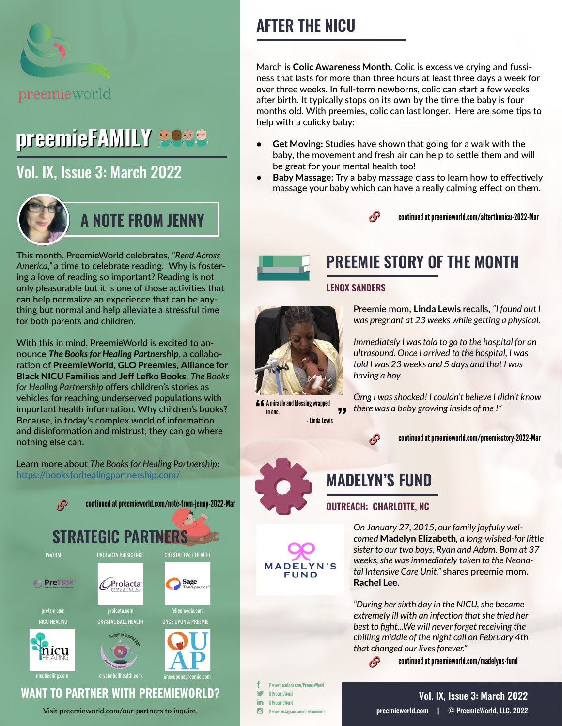

# preemieFAMILY **5089**

## [Vol. IX, Issue 3: March 2022](https://preemieworld.com/preemie-family-digital-issues/)



This month, PreemieWorld celebrates, *"Read Across America,"* a time to celebrate reading. Why is fostering a love of reading so important? Reading is not only pleasurable but it is one of those activities that can help normalize an experience that can be anything but normal and help alleviate a stressful time for both parents and children.

With this in mind, PreemieWorld is excited to announce *The Books for Healing Partnership*, a collaboration of **PreemieWorld**, **GLO Preemies, Alliance for Black NICU Families** and **Jeff Lefko Books**. *The Books for Healing Partnership* offers children's stories as vehicles for reaching underserved populations with important health information. Why children's books? Because, in today's complex world of information and disinformation and mistrust, they can go where nothing else can.

Learn more about *The Books for Healing Partnership*: <https://booksforhealingpartnership.com/>



Visit [preemieworld.com/our-partners](https://preemieworld.com/our-partners) to inquire.

# **AFTER THE NICU**

March is **Colic Awareness Month**. Colic is excessive crying and fussiness that lasts for more than three hours at least three days a week for over three weeks. In full-term newborns, colic can start a few weeks after birth. It typically stops on its own by the time the baby is four months old. With preemies, colic can last longer. Here are some tips to help with a colicky baby:

- **• Get Moving:** Studies have shown that going for a walk with the baby, the movement and fresh air can help to settle them and will be great for your mental health too!
- **• Baby Massage:** [Try a baby massage class to learn how to effectively](Baby Massage:  Try a baby massage class to learn how to effectively massage your baby which can have a really calming effect on them.)  [massage your baby which can have a really calming effect on them.](Baby Massage:  Try a baby massage class to learn how to effectively massage your baby which can have a really calming effect on them.)





# **PREEMIE STORY OF THE MONTH**

#### **LENOX SANDERS**



A miracle and blessing wrapped in one. - Linda Lewis Preemie mom, **Linda Lewis** recalls, *"I found out I was pregnant at 23 weeks while getting a physical.*

*Immediately I was told to go to the hospital for an ultrasound. Once I arrived to the hospital, I was told I was 23 weeks and 5 days and that I was having a boy.* 

*Omg I was shocked! I couldn't believe I didn't know there was a baby growing inside of me !"*

 $\mathcal{S}$ 

continued at [preemieworld.com/preemiestory-2022-M](https://preemieworld.com/preemiestory-2022-Mar)ar

# **MADELYN'S FUND**

### **OUTREACH: CHARLOTTE, NC**

 $\mathcal{S}$ 

*On January 27, 2015, our family joyfully welcomed* **Madelyn Elizabeth***, a long-wished-for little sister to our two boys, Ryan and Adam. Born at 37 weeks, she was immediately taken to the Neonatal Intensive Care Unit,"* shares preemie mom, **Rachel Lee**.

*"During her sixth day in the NICU, she became extremely ill with an infection that she tried her best to fight...We will never forget receiving the chilling middle of the night call on February 4th that changed our lives forever."*

continued at [preemieworld.com/m](https://preemieworld.com/madelyns-fund)adelyns-fund

@ www.facebook.com/PreemieWorld @ PreemieWorld in @ PreemieWorld  $\overline{G}$ @ www.instagram.com/preemieworld

**MADELYN'S** FIIND

> [preemieworld.com](https://preemieworld.com) | © PreemieWorld, LLC. 2022 Vol. IX, Issue 3: March 2022